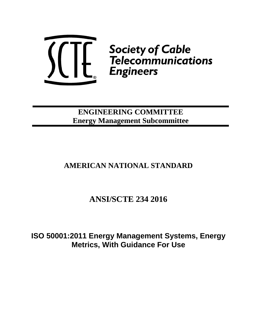

**ENGINEERING COMMITTEE Energy Management Subcommittee**

# **AMERICAN NATIONAL STANDARD**

# **ANSI/SCTE 234 2016**

**ISO 50001:2011 Energy Management Systems, Energy Metrics, With Guidance For Use**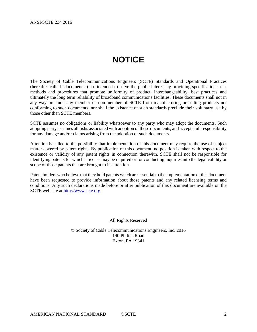# **NOTICE**

<span id="page-1-0"></span>The Society of Cable Telecommunications Engineers (SCTE) Standards and Operational Practices (hereafter called "documents") are intended to serve the public interest by providing specifications, test methods and procedures that promote uniformity of product, interchangeability, best practices and ultimately the long term reliability of broadband communications facilities. These documents shall not in any way preclude any member or non-member of SCTE from manufacturing or selling products not conforming to such documents, nor shall the existence of such standards preclude their voluntary use by those other than SCTE members.

SCTE assumes no obligations or liability whatsoever to any party who may adopt the documents. Such adopting party assumes all risks associated with adoption of these documents, and accepts full responsibility for any damage and/or claims arising from the adoption of such documents.

Attention is called to the possibility that implementation of this document may require the use of subject matter covered by patent rights. By publication of this document, no position is taken with respect to the existence or validity of any patent rights in connection therewith. SCTE shall not be responsible for identifying patents for which a license may be required or for conducting inquiries into the legal validity or scope of those patents that are brought to its attention.

Patent holders who believe that they hold patents which are essential to the implementation of this document have been requested to provide information about those patents and any related licensing terms and conditions. Any such declarations made before or after publication of this document are available on the SCTE web site at [http://www.scte.org.](http://www.scte.org/)

All Rights Reserved

© Society of Cable Telecommunications Engineers, Inc. 2016 140 Philips Road Exton, PA 19341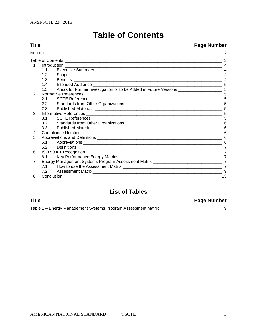<span id="page-2-0"></span>

| Title                          |      |                                                                                                                                                                                                                                      | <b>Page Number</b> |
|--------------------------------|------|--------------------------------------------------------------------------------------------------------------------------------------------------------------------------------------------------------------------------------------|--------------------|
|                                |      | NOTICE <b>All and the Contract Contract Contract Contract Contract Contract Contract Contract Contract Contract Contract Contract Contract Contract Contract Contract Contract Contract Contract Contract Contract Contract Cont</b> |                    |
|                                |      |                                                                                                                                                                                                                                      |                    |
|                                |      |                                                                                                                                                                                                                                      |                    |
|                                | 1.1. |                                                                                                                                                                                                                                      |                    |
|                                | 1.2. |                                                                                                                                                                                                                                      |                    |
|                                | 1.3. |                                                                                                                                                                                                                                      |                    |
|                                | 1.4. |                                                                                                                                                                                                                                      |                    |
|                                | 1.5. |                                                                                                                                                                                                                                      |                    |
| 2.                             |      |                                                                                                                                                                                                                                      |                    |
|                                | 2.1. |                                                                                                                                                                                                                                      |                    |
|                                | 2.2. |                                                                                                                                                                                                                                      |                    |
|                                | 2.3. |                                                                                                                                                                                                                                      |                    |
| 3.                             |      | Informative References                                                                                                                                                                                                               |                    |
|                                | 3.1  |                                                                                                                                                                                                                                      |                    |
|                                |      |                                                                                                                                                                                                                                      |                    |
|                                | 3.3. |                                                                                                                                                                                                                                      |                    |
| 4.                             |      |                                                                                                                                                                                                                                      |                    |
| 5.                             |      |                                                                                                                                                                                                                                      |                    |
|                                | 5.1  |                                                                                                                                                                                                                                      | 6                  |
|                                | 5.2. | Definitions<br><u> 1989 - Johann Barn, mars ann an t-Amhainn an t-Amhainn an t-Amhainn an t-Amhainn an t-Amhainn an t-Amhainn an </u>                                                                                                |                    |
| 6.                             |      |                                                                                                                                                                                                                                      | $\overline{7}$     |
|                                | 6.1. |                                                                                                                                                                                                                                      | 7                  |
| $7_{\scriptscriptstyle{\sim}}$ |      |                                                                                                                                                                                                                                      |                    |
|                                | 7.1  |                                                                                                                                                                                                                                      | $\overline{7}$     |
|                                | 7.2. |                                                                                                                                                                                                                                      | 9                  |
| 8.                             |      |                                                                                                                                                                                                                                      | 13                 |

# **Table of Contents**

# **List of Tables**

| Title                                                         | <b>Page Number</b> |
|---------------------------------------------------------------|--------------------|
| Table 1 – Energy Management Systems Program Assessment Matrix |                    |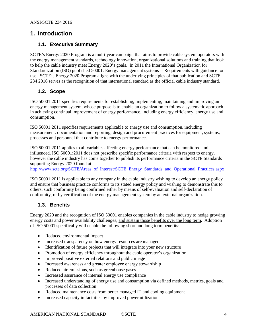# <span id="page-3-1"></span><span id="page-3-0"></span>**1. Introduction**

#### **1.1. Executive Summary**

SCTE's Energy 2020 Program is a multi-year campaign that aims to provide cable system operators with the energy management standards, technology innovation, organizational solutions and training that look to help the cable industry meet Energy 2020's goals. In 2011 the International Organization for Standardization (ISO) published 50001: Energy management systems -- Requirements with guidance for use. SCTE's Energy 2020 Program aligns with the underlying principles of that publication and SCTE 234 2016 serves as the recognition of that international standard as the official cable industry standard.

#### <span id="page-3-2"></span>**1.2. Scope**

ISO 50001:2011 specifies requirements for establishing, implementing, maintaining and improving an energy management system, whose purpose is to enable an organization to follow a systematic approach in achieving continual improvement of energy performance, including energy efficiency, energy use and consumption.

ISO 50001:2011 specifies requirements applicable to energy use and consumption, including measurement, documentation and reporting, design and procurement practices for equipment, systems, processes and personnel that contribute to energy performance.

ISO 50001:2011 applies to all variables affecting energy performance that can be monitored and influenced. ISO 50001:2011 does not prescribe specific performance criteria with respect to energy, however the cable industry has come together to publish its performance criteria in the SCTE Standards supporting Energy 2020 found at

[http://www.scte.org/SCTE/Areas\\_of\\_Interest/SCTE\\_Energy\\_Standards\\_and\\_Operational\\_Practices.aspx](http://www.scte.org/SCTE/Areas_of_Interest/SCTE_Energy_Standards_and_Operational_Practices.aspx)

ISO 50001:2011 is applicable to any company in the cable industry wishing to develop an energy policy and ensure that business practice conforms to its stated energy policy and wishing to demonstrate this to others, such conformity being confirmed either by means of self-evaluation and self-declaration of conformity, or by certification of the energy management system by an external organization.

#### <span id="page-3-3"></span>**1.3. Benefits**

Energy 2020 and the recognition of ISO 50001 enables companies in the cable industry to hedge growing energy costs and power availability challenges, and sustain those benefits over the long term. Adoption of ISO 50001 specifically will enable the following short and long term benefits:

- Reduced environmental impact
- Increased transparency on how energy resources are managed
- Identification of future projects that will integrate into your new structure
- Promotion of energy efficiency throughout the cable operator's organization
- Improved positive external relations and public image
- Increased awareness and greater employee energy stewardship
- Reduced air emissions, such as greenhouse gases
- Increased assurance of internal energy use compliance
- Increased understanding of energy use and consumption via defined methods, metrics, goals and processes of data collection
- Reduced maintenance costs from better managed IT and cooling equipment
- Increased capacity in facilities by improved power utilization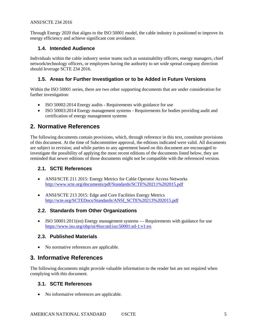Through Energy 2020 that aligns to the ISO 50001 model, the cable industry is positioned to improve its energy efficiency and achieve significant cost avoidance.

## <span id="page-4-0"></span>**1.4. Intended Audience**

Individuals within the cable industry senior teams such as sustainability officers, energy managers, chief network/technology officers, or employees having the authority to set wide spread company direction should leverage SCTE 234 2016.

## <span id="page-4-1"></span>**1.5. Areas for Further Investigation or to be Added in Future Versions**

Within the ISO 50001 series, there are two other supporting documents that are under consideration for further investigation:

- ISO 50002:2014 Energy audits Requirements with guidance for use
- ISO 50003:2014 Energy management systems Requirements for bodies providing audit and certification of energy management systems

# <span id="page-4-2"></span>**2. Normative References**

The following documents contain provisions, which, through reference in this text, constitute provisions of this document. At the time of Subcommittee approval, the editions indicated were valid. All documents are subject to revision; and while parties to any agreement based on this document are encouraged to investigate the possibility of applying the most recent editions of the documents listed below, they are reminded that newer editions of those documents might not be compatible with the referenced version.

#### <span id="page-4-3"></span>**2.1. SCTE References**

- ANSI/SCTE 211 2015: Energy Metrics for Cable Operator Access Networks <http://www.scte.org/documents/pdf/Standards/SCTE%20211%202015.pdf>
- ANSI/SCTE 213 2015: Edge and Core Facilities Energy Metrics [http://scte.org/SCTEDocs/Standards/ANSI\\_SCTE%20213%202015.pdf](http://scte.org/SCTEDocs/Standards/ANSI_SCTE%20213%202015.pdf)

#### <span id="page-4-4"></span>**2.2. Standards from Other Organizations**

• ISO 50001:2011(en) Energy management systems — Requirements with guidance for use <https://www.iso.org/obp/ui/#iso:std:iso:50001:ed-1:v1:en>

#### <span id="page-4-5"></span>**2.3. Published Materials**

• No normative references are applicable.

# <span id="page-4-6"></span>**3. Informative References**

The following documents might provide valuable information to the reader but are not required when complying with this document.

#### <span id="page-4-7"></span>**3.1. SCTE References**

• No informative references are applicable.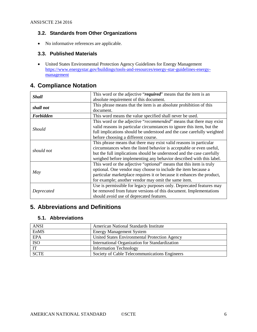# <span id="page-5-0"></span>**3.2. Standards from Other Organizations**

• No informative references are applicable.

## <span id="page-5-1"></span>**3.3. Published Materials**

• United States Environmental Protection Agency Guidelines for Energy Management [https://www.energystar.gov/buildings/tools-and-resources/energy-star-guidelines-energy](https://www.energystar.gov/buildings/tools-and-resources/energy-star-guidelines-energy-management)[management](https://www.energystar.gov/buildings/tools-and-resources/energy-star-guidelines-energy-management)

# <span id="page-5-2"></span>**4. Compliance Notation**

| <b>Shall</b>         | This word or the adjective "required" means that the item is an              |  |  |
|----------------------|------------------------------------------------------------------------------|--|--|
|                      | absolute requirement of this document.                                       |  |  |
| shall not            | This phrase means that the item is an absolute prohibition of this           |  |  |
|                      | document.                                                                    |  |  |
| <b>Forbidden</b>     | This word means the value specified shall never be used.                     |  |  |
|                      | This word or the adjective "recommended" means that there may exist          |  |  |
|                      | valid reasons in particular circumstances to ignore this item, but the       |  |  |
| <i><b>Should</b></i> | full implications should be understood and the case carefully weighted       |  |  |
|                      | before choosing a different course.                                          |  |  |
|                      | This phrase means that there may exist valid reasons in particular           |  |  |
| should not           | circumstances when the listed behavior is acceptable or even useful,         |  |  |
|                      | but the full implications should be understood and the case carefully        |  |  |
|                      | weighed before implementing any behavior described with this label.          |  |  |
|                      | This word or the adjective " <i>optional</i> " means that this item is truly |  |  |
|                      | optional. One vendor may choose to include the item because a                |  |  |
| May                  | particular marketplace requires it or because it enhances the product,       |  |  |
|                      | for example; another vendor may omit the same item.                          |  |  |
|                      | Use is permissible for legacy purposes only. Deprecated features may         |  |  |
| Deprecated           | be removed from future versions of this document. Implementations            |  |  |
|                      | should avoid use of deprecated features.                                     |  |  |

# <span id="page-5-3"></span>**5. Abbreviations and Definitions**

#### <span id="page-5-4"></span>**5.1. Abbreviations**

<span id="page-5-5"></span>

| <b>ANSI</b> | American National Standards Institute          |
|-------------|------------------------------------------------|
| EnMS        | <b>Energy Management System</b>                |
| <b>EPA</b>  | United States Environmental Protection Agency  |
| <b>ISO</b>  | International Organization for Standardization |
| IT          | <b>Information Technology</b>                  |
| <b>SCTE</b> | Society of Cable Telecommunications Engineers  |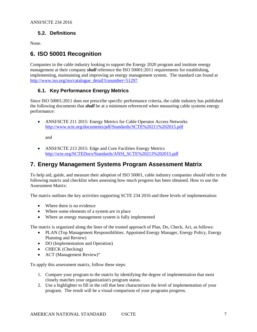# **5.2. Definitions**

None.

# <span id="page-6-0"></span>**6. ISO 50001 Recognition**

Companies in the cable industry looking to support the Energy 2020 program and institute energy management at their company *shall* reference the ISO 50001:2011 requirements for establishing, implementing, maintaining and improving an energy management system. The standard can found at [http://www.iso.org/iso/catalogue\\_detail?csnumber=51297.](http://www.iso.org/iso/catalogue_detail?csnumber=51297)

# <span id="page-6-1"></span>**6.1. Key Performance Energy Metrics**

Since ISO 50001:2011 does not prescribe specific performance criteria, the cable industry has published the following documents that *shall* be at a minimum referenced when measuring cable systems energy performance:

• ANSI/SCTE 211 2015: Energy Metrics for Cable Operator Access Networks <http://www.scte.org/documents/pdf/Standards/SCTE%20211%202015.pdf>

<span id="page-6-3"></span>and

• ANSI/SCTE 213 2015: Edge and Core Facilities Energy Metrics [http://scte.org/SCTEDocs/Standards/ANSI\\_SCTE%20213%202015.pdf](http://scte.org/SCTEDocs/Standards/ANSI_SCTE%20213%202015.pdf)

# <span id="page-6-2"></span>**7. Energy Management Systems Program Assessment Matrix**

To help aid, guide, and measure their adoption of ISO 50001, cable industry companies *should* refer to the following matrix and checklist when assessing how much progress has been obtained. How to use the Assessment Matrix:

The matrix outlines the key activities supporting SCTE 234 2016 and three levels of implementation:

- Where there is no evidence
- Where some elements of a system are in place
- Where an energy management system is fully implemented

The matrix is organized along the lines of the trusted approach of Plan, Do, Check, Act, as follows:

- PLAN (Top Management Responsibilities. Appointed Energy Manager, Energy Policy, Energy Planning and Review)
- DO (Implementation and Operation)
- CHECK (Checking)
- ACT (Management Review)"

To apply this assessment matrix, follow these steps:

- 1. Compare your program to the matrix by identifying the degree of implementation that most closely matches your organization's program status.
- 2. Use a highlighter to fill in the cell that best characterizes the level of implementation of your program. The result will be a visual comparison of your programs progress.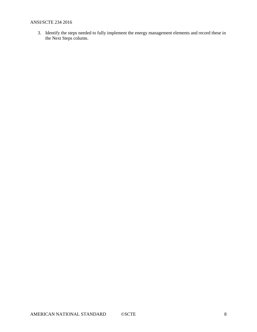3. Identify the steps needed to fully implement the energy management elements and record these in the Next Steps column.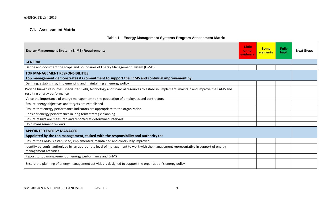# **7.1. Assessment Matrix**

# **Table 1 – Energy Management Systems Program Assessment Matrix**

<span id="page-8-1"></span><span id="page-8-0"></span>

| <b>Energy Management System (EnMS) Requirements</b>                                                                                                                        | Little<br>or no<br>evidence | <b>Some</b><br>elements | <b>Fully</b><br>Impl. | <b>Next Steps</b> |
|----------------------------------------------------------------------------------------------------------------------------------------------------------------------------|-----------------------------|-------------------------|-----------------------|-------------------|
| <b>GENERAL</b>                                                                                                                                                             |                             |                         |                       |                   |
| Define and document the scope and boundaries of Energy Management System (EnMS)                                                                                            |                             |                         |                       |                   |
| <b>TOP MANAGEMENT RESPONSIBILITIES</b>                                                                                                                                     |                             |                         |                       |                   |
| Top management demonstrates its commitment to support the EnMS and continual improvement by:                                                                               |                             |                         |                       |                   |
| Defining, establishing, implementing and maintaining an energy policy                                                                                                      |                             |                         |                       |                   |
| Provide human resources, specialized skills, technology and financial resources to establish, implement, maintain and improve the EnMS and<br>resulting energy performance |                             |                         |                       |                   |
| Voice the importance of energy management to the population of employees and contractors                                                                                   |                             |                         |                       |                   |
| Ensure energy objectives and targets are established                                                                                                                       |                             |                         |                       |                   |
| Ensure that energy performance indicators are appropriate to the organization                                                                                              |                             |                         |                       |                   |
| Consider energy performance in long term strategic planning                                                                                                                |                             |                         |                       |                   |
| Ensure results are measured and reported at determined intervals                                                                                                           |                             |                         |                       |                   |
| Hold management reviews                                                                                                                                                    |                             |                         |                       |                   |
| <b>APPOINTED ENERGY MANAGER</b><br>Appointed by the top management, tasked with the responsibility and authority to:                                                       |                             |                         |                       |                   |
| Ensure the EnMS is established, implemented, maintained and continually improved                                                                                           |                             |                         |                       |                   |
| Identify person(s) authorized by an appropriate level of management to work with the management representative in support of energy<br>management activities               |                             |                         |                       |                   |
| Report to top management on energy performance and EnMS                                                                                                                    |                             |                         |                       |                   |
| Ensure the planning of energy management activities is designed to support the organization's energy policy                                                                |                             |                         |                       |                   |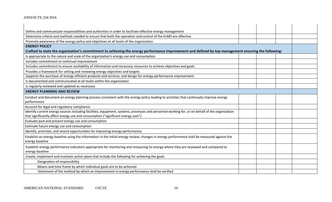| Define and communicate responsibilities and authorities in order to facilitate effective energy management                                           |  |  |
|------------------------------------------------------------------------------------------------------------------------------------------------------|--|--|
| Determine criteria and methods needed to ensure that both the operation and control of the EnMS are effective                                        |  |  |
| Promote awareness of the energy policy and objectives at all levels of the organization                                                              |  |  |
| <b>ENERGY POLICY</b>                                                                                                                                 |  |  |
| Crafted to state the organization's commitment to achieving the energy performance improvement and defined by top management ensuring the following: |  |  |
| Is appropriate to the nature and scale of the organization's energy use and consumption                                                              |  |  |
| Includes commitment to continual improvement                                                                                                         |  |  |
| Includes commitment to ensure availability of information and necessary resources to achieve objectives and goals                                    |  |  |
| Provides a framework for setting and reviewing energy objectives and targets                                                                         |  |  |
| Supports the purchase of energy-efficient products and services, and design for energy performance improvement                                       |  |  |
| Is documented and communicated at all levels within the organization                                                                                 |  |  |
| Is regularly reviewed and updated as necessary                                                                                                       |  |  |
| <b>ENERGY PLANNING AND REVIEW</b>                                                                                                                    |  |  |
| Conduct and document an energy planning process consistent with the energy policy leading to activities that continually improve energy              |  |  |
| performance                                                                                                                                          |  |  |
| Account for legal and regulatory compliance                                                                                                          |  |  |
| Identify current energy sources including facilities, equipment, systems, processes and personnel working for, or on behalf of the organization      |  |  |
| that significantly affect energy use and consumption ("significant energy uses")                                                                     |  |  |
| Evaluate past and present energy use and consumption                                                                                                 |  |  |
| Estimate future energy use and consumption                                                                                                           |  |  |
| Identify, prioritize, and record opportunities for improving energy performance                                                                      |  |  |
| Establish an energy baseline using the information in the initial energy review; changes in energy performance shall be measured against the         |  |  |
| energy baseline                                                                                                                                      |  |  |
| Establish energy performance indicators appropriate for monitoring and measuring its energy where they are reviewed and compared to                  |  |  |
| energy baseline                                                                                                                                      |  |  |
| Create, implement and maintain action plans that include the following for achieving the goals                                                       |  |  |
| Designation of responsibility                                                                                                                        |  |  |
| Means and time frame by which individual goals are to be achieved                                                                                    |  |  |
| Statement of the method by which an improvement in energy performance shall be verified                                                              |  |  |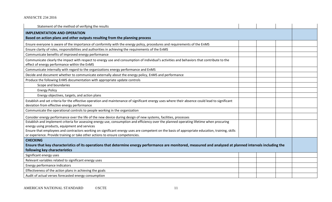| Statement of the method of verifying the results                                                                                                                                               |  |  |  |  |
|------------------------------------------------------------------------------------------------------------------------------------------------------------------------------------------------|--|--|--|--|
| <b>IMPLEMENTATION AND OPERATION</b>                                                                                                                                                            |  |  |  |  |
| Based on action plans and other outputs resulting from the planning process                                                                                                                    |  |  |  |  |
| Ensure everyone is aware of the importance of conformity with the energy policy, procedures and requirements of the EnMS                                                                       |  |  |  |  |
| Ensure clarity of roles, responsibilities and authorities in achieving the requirements of the EnMS                                                                                            |  |  |  |  |
| Communicate benefits of improved energy performance                                                                                                                                            |  |  |  |  |
| Communicate clearly the impact with respect to energy use and consumption of individual's activities and behaviors that contribute to the<br>effect of energy performance within the EnMS      |  |  |  |  |
| Communicate internally with regard to the organizations energy performance and EnMS                                                                                                            |  |  |  |  |
| Decide and document whether to communicate externally about the energy policy, EnMS and performance                                                                                            |  |  |  |  |
| Produce the following EnMS documentation with appropriate update controls                                                                                                                      |  |  |  |  |
| Scope and boundaries                                                                                                                                                                           |  |  |  |  |
| <b>Energy Policy</b>                                                                                                                                                                           |  |  |  |  |
| Energy objectives, targets, and action plans                                                                                                                                                   |  |  |  |  |
| Establish and set criteria for the effective operation and maintenance of significant energy uses where their absence could lead to significant<br>deviation from effective energy performance |  |  |  |  |
| Communicate the operational controls to people working in the organization                                                                                                                     |  |  |  |  |
| Consider energy performance over the life of the new device during design of new systems, facilities, processes                                                                                |  |  |  |  |
| Establish and implement criteria for assessing energy use, consumption and efficiency over the planned operating lifetime when procuring                                                       |  |  |  |  |
| energy using products, equipment and services                                                                                                                                                  |  |  |  |  |
| Ensure that employees and contractors working on significant energy uses are competent on the basis of appropriate education, training, skills                                                 |  |  |  |  |
| or experience. Provide training or take other actions to ensure competencies.                                                                                                                  |  |  |  |  |
| <b>CHECKING</b>                                                                                                                                                                                |  |  |  |  |
| Ensure that key characteristics of its operations that determine energy performance are monitored, measured and analyzed at planned intervals including the                                    |  |  |  |  |
| following key characteristics                                                                                                                                                                  |  |  |  |  |
| Significant energy uses                                                                                                                                                                        |  |  |  |  |
| Relevant variables related to significant energy uses                                                                                                                                          |  |  |  |  |
| Energy performance indicators                                                                                                                                                                  |  |  |  |  |
| Effectiveness of the action plans in achieving the goals                                                                                                                                       |  |  |  |  |
| Audit of actual verses forecasted energy consumption                                                                                                                                           |  |  |  |  |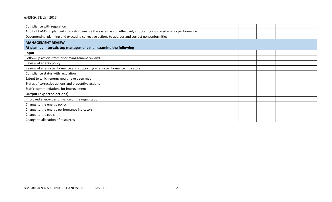| Compliance with regulation                                                                                          |  |  |  |  |
|---------------------------------------------------------------------------------------------------------------------|--|--|--|--|
| Audit of EnMS on planned intervals to ensure the system is still effectively supporting improved energy performance |  |  |  |  |
| Documenting, planning and executing corrective actions to address and correct nonconformities                       |  |  |  |  |
| <b>MANAGEMENT REVIEW</b>                                                                                            |  |  |  |  |
| At planned intervals top management shall examine the following                                                     |  |  |  |  |
| Input                                                                                                               |  |  |  |  |
| Follow-up actions from prior management reviews                                                                     |  |  |  |  |
| Review of energy policy                                                                                             |  |  |  |  |
| Review of energy performance and supporting energy performance indicators                                           |  |  |  |  |
| Compliance status with regulation                                                                                   |  |  |  |  |
| Extent to which energy goals have been met                                                                          |  |  |  |  |
| Status of corrective actions and preventive actions                                                                 |  |  |  |  |
| Staff recommendations for improvement                                                                               |  |  |  |  |
| <b>Output (expected actions)</b>                                                                                    |  |  |  |  |
| Improved energy performance of the organization                                                                     |  |  |  |  |
| Change to the energy policy                                                                                         |  |  |  |  |
| Change to the energy performance indicators                                                                         |  |  |  |  |
| Change to the goals                                                                                                 |  |  |  |  |
| Change to allocation of resources                                                                                   |  |  |  |  |